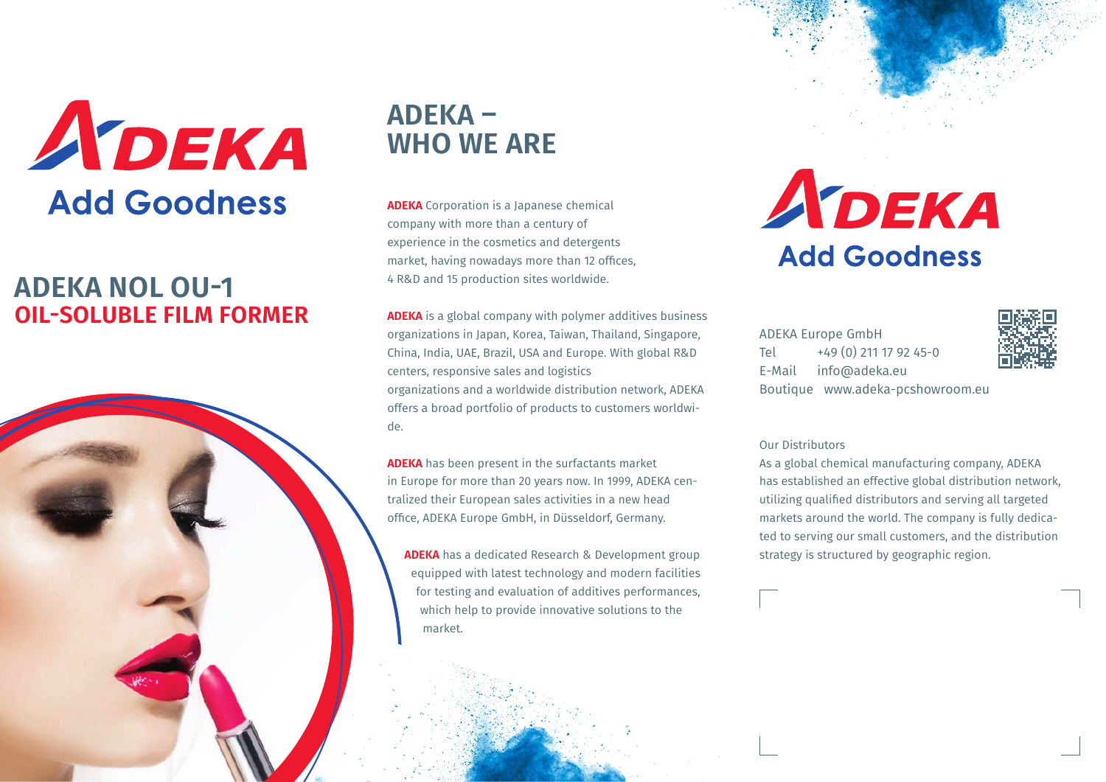

# **ADEKA NOL OU-1 OIL-SOLUBLE FILM FORMER**



# **ADEKA – WHO WE ARE**

**ADEKA** Corporation is a Japanese chemical company with more than a century of experience in the cosmetics and detergents market, having nowadays more than 12 offices, 4 R&D and 15 production sites worldwide.

**ADEKA** is a global company with polymer additives business organizations in Japan, Korea, Taiwan, Thailand, Singapore, China, India, UAE, Brazil, USA and Europe. With global R&D centers, responsive sales and logistics organizations and a worldwide distribution network, ADEKA offers a broad portfolio of products to customers worldwide.

**ADEKA** has been present in the surfactants market in Europe for more than 20 years now. In 1999, ADEKA centralized their European sales activities in a new head office, ADEKA Europe GmbH, in Düsseldorf, Germany.

**ADEKA** has a dedicated Research & Development group equipped with latest technology and modern facilities for testing and evaluation of additives performances, which help to provide innovative solutions to the market.

# ADEKA **Add Goodness**

ADEKA Europe GmbH Tel +49 (0) 211 17 92 45-0 E-Mail info@adeka.eu Boutique www.adeka-pcshowroom.eu



## Our Distributors

As a global chemical manufacturing company, ADEKA has established an effective global distribution network, utilizing qualified distributors and serving all targeted markets around the world. The company is fully dedicated to serving our small customers, and the distribution strategy is structured by geographic region.